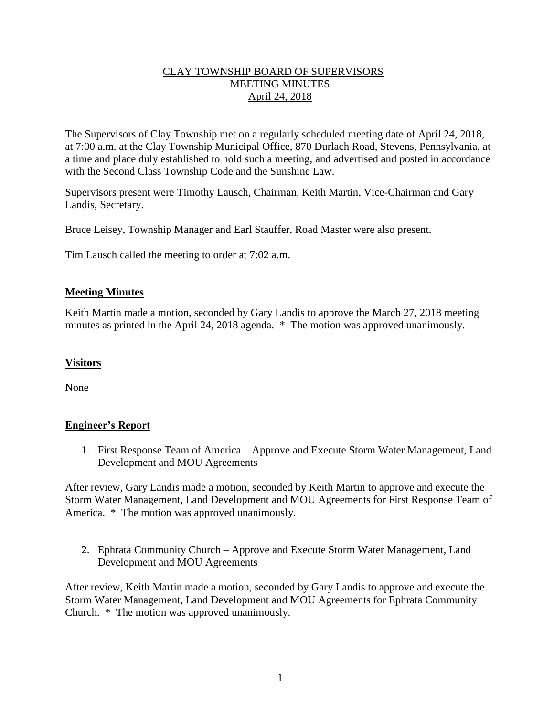# CLAY TOWNSHIP BOARD OF SUPERVISORS MEETING MINUTES April 24, 2018

The Supervisors of Clay Township met on a regularly scheduled meeting date of April 24, 2018, at 7:00 a.m. at the Clay Township Municipal Office, 870 Durlach Road, Stevens, Pennsylvania, at a time and place duly established to hold such a meeting, and advertised and posted in accordance with the Second Class Township Code and the Sunshine Law.

Supervisors present were Timothy Lausch, Chairman, Keith Martin, Vice-Chairman and Gary Landis, Secretary.

Bruce Leisey, Township Manager and Earl Stauffer, Road Master were also present.

Tim Lausch called the meeting to order at 7:02 a.m.

## **Meeting Minutes**

Keith Martin made a motion, seconded by Gary Landis to approve the March 27, 2018 meeting minutes as printed in the April 24, 2018 agenda. \* The motion was approved unanimously.

### **Visitors**

None

# **Engineer's Report**

1. First Response Team of America – Approve and Execute Storm Water Management, Land Development and MOU Agreements

After review, Gary Landis made a motion, seconded by Keith Martin to approve and execute the Storm Water Management, Land Development and MOU Agreements for First Response Team of America. \* The motion was approved unanimously.

2. Ephrata Community Church – Approve and Execute Storm Water Management, Land Development and MOU Agreements

After review, Keith Martin made a motion, seconded by Gary Landis to approve and execute the Storm Water Management, Land Development and MOU Agreements for Ephrata Community Church. \* The motion was approved unanimously.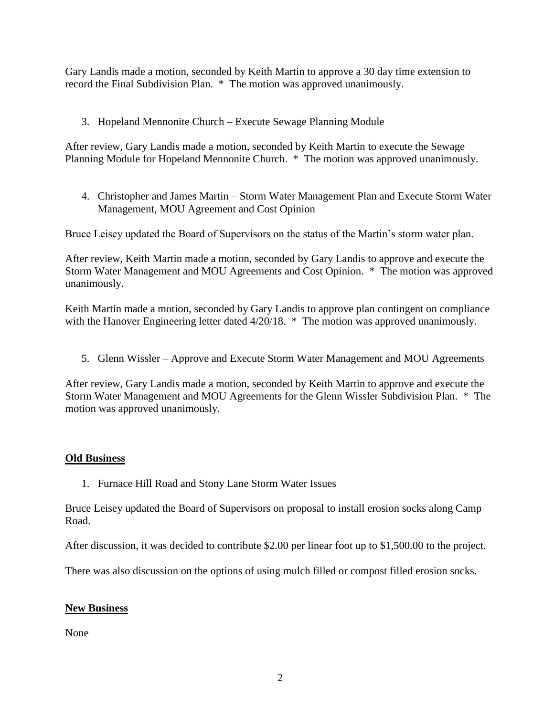Gary Landis made a motion, seconded by Keith Martin to approve a 30 day time extension to record the Final Subdivision Plan. \* The motion was approved unanimously.

3. Hopeland Mennonite Church – Execute Sewage Planning Module

After review, Gary Landis made a motion, seconded by Keith Martin to execute the Sewage Planning Module for Hopeland Mennonite Church. \* The motion was approved unanimously.

4. Christopher and James Martin – Storm Water Management Plan and Execute Storm Water Management, MOU Agreement and Cost Opinion

Bruce Leisey updated the Board of Supervisors on the status of the Martin's storm water plan.

After review, Keith Martin made a motion, seconded by Gary Landis to approve and execute the Storm Water Management and MOU Agreements and Cost Opinion. \* The motion was approved unanimously.

Keith Martin made a motion, seconded by Gary Landis to approve plan contingent on compliance with the Hanover Engineering letter dated  $4/20/18$ . \* The motion was approved unanimously.

5. Glenn Wissler – Approve and Execute Storm Water Management and MOU Agreements

After review, Gary Landis made a motion, seconded by Keith Martin to approve and execute the Storm Water Management and MOU Agreements for the Glenn Wissler Subdivision Plan. \* The motion was approved unanimously.

#### **Old Business**

1. Furnace Hill Road and Stony Lane Storm Water Issues

Bruce Leisey updated the Board of Supervisors on proposal to install erosion socks along Camp Road.

After discussion, it was decided to contribute \$2.00 per linear foot up to \$1,500.00 to the project.

There was also discussion on the options of using mulch filled or compost filled erosion socks.

#### **New Business**

None